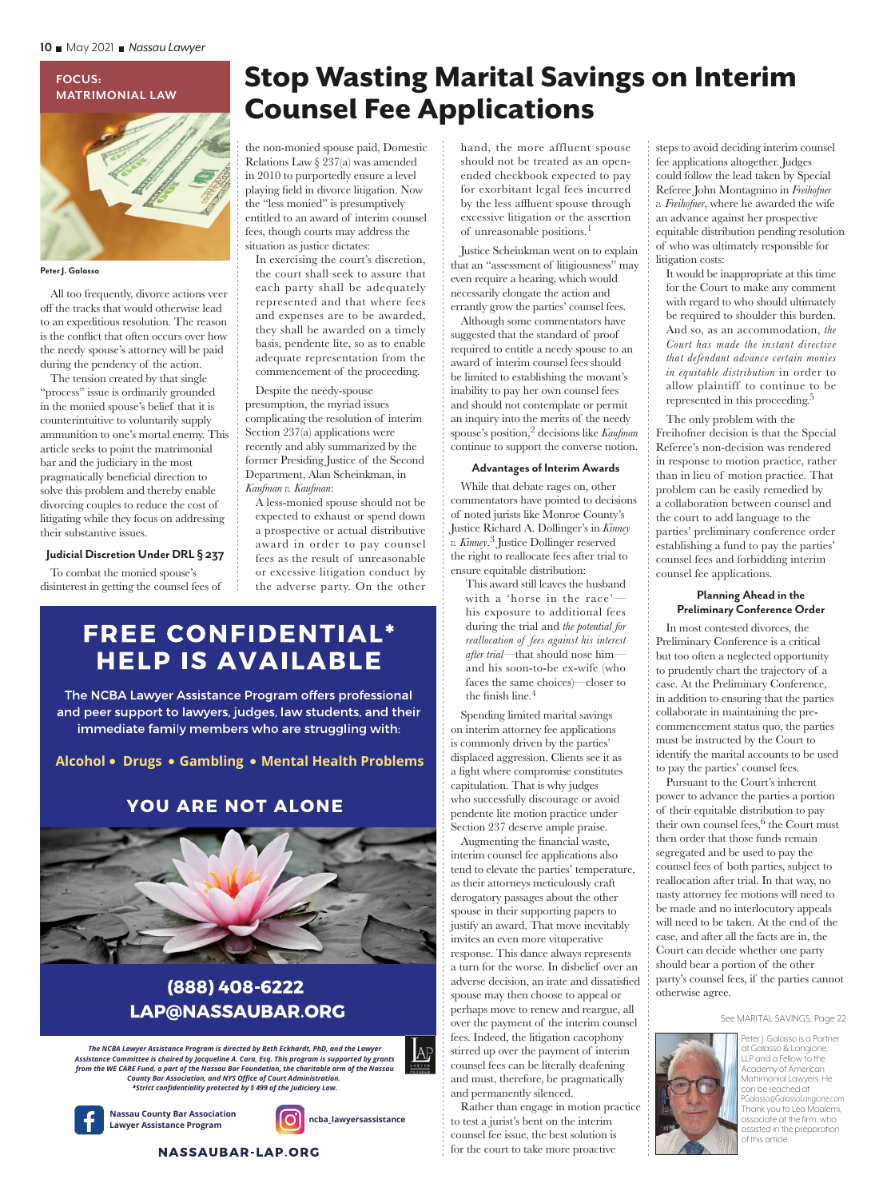# **FOCUS: MATRIMONIAL LAW**

**Peter J. Galasso**

All too frequently, divorce actions veer off the tracks that would otherwise lead to an expeditious resolution. The reason is the conflict that often occurs over how the needy spouse's attorney will be paid during the pendency of the action.

The tension created by that single "process" issue is ordinarily grounded in the monied spouse's belief that it is counterintuitive to voluntarily supply ammunition to one's mortal enemy. This article seeks to point the matrimonial bar and the judiciary in the most pragmatically beneficial direction to solve this problem and thereby enable divorcing couples to reduce the cost of litigating while they focus on addressing their substantive issues.

#### **Judicial Discretion Under DRL § 237**

To combat the monied spouse's disinterest in getting the counsel fees of

# Stop Wasting Marital Savings on Interim Counsel Fee Applications

the non-monied spouse paid, Domestic Relations Law § 237(a) was amended in 2010 to purportedly ensure a level playing field in divorce litigation. Now the "less monied" is presumptively entitled to an award of interim counsel fees, though courts may address the situation as justice dictates:

In exercising the court's discretion, the court shall seek to assure that each party shall be adequately represented and that where fees and expenses are to be awarded, they shall be awarded on a timely basis, pendente lite, so as to enable adequate representation from the commencement of the proceeding.

Despite the needy-spouse presumption, the myriad issues complicating the resolution of interim Section 237(a) applications were recently and ably summarized by the former Presiding Justice of the Second Department, Alan Scheinkman, in *Kaufman v. Kaufman*:

A less-monied spouse should not be expected to exhaust or spend down a prospective or actual distributive award in order to pay counsel fees as the result of unreasonable or excessive litigation conduct by the adverse party. On the other

## **FREE CONFIDENTIAL\* HELP IS AVAILABLE**

The NCBA Lawyer Assistance Program offers professional and peer support to lawyers, judges, law students, and their immediate family members who are struggling with:

Alcohol • Drugs • Gambling • Mental Health Problems

### YOU ARE NOT ALONE



## (888) 408-6222 **LAP@NASSAUBAR.ORG**

*The NCBA Lawyer Assistance Program is directed by Beth Eckhardt, PhD, and the Lawyer Assistance Committee is chaired by Jacqueline A. Cara, Esq. This program is supported by grants from the WE CARE Fund, a part of the Nassau Bar Foundation, the charitable arm of the Nassau County Bar Association, and NYS Office of Court Administration. \*Strict confidentiality protected by § 499 of the Judiciary Law.*

**Nassau County Bar Association**



AP

hand, the more affluent spouse should not be treated as an openended checkbook expected to pay for exorbitant legal fees incurred by the less affluent spouse through excessive litigation or the assertion of unreasonable positions.<sup>1</sup>

Justice Scheinkman went on to explain that an "assessment of litigiousness" may even require a hearing, which would necessarily elongate the action and errantly grow the parties' counsel fees.

Although some commentators have suggested that the standard of proof required to entitle a needy spouse to an award of interim counsel fees should be limited to establishing the movant's inability to pay her own counsel fees and should not contemplate or permit an inquiry into the merits of the needy spouse's position,2 decisions like *Kaufman* continue to support the converse notion.

#### **Advantages of Interim Awards**

While that debate rages on, other commentators have pointed to decisions of noted jurists like Monroe County's Justice Richard A. Dollinger's in *Kinney v. Kinney*. 3 Justice Dollinger reserved the right to reallocate fees after trial to ensure equitable distribution:

This award still leaves the husband with a 'horse in the race' his exposure to additional fees during the trial and *the potential for reallocation of fees against his interest after trial*—that should nose him and his soon-to-be ex-wife (who faces the same choices)—closer to the finish line. $4$ 

Spending limited marital savings on interim attorney fee applications is commonly driven by the parties' displaced aggression. Clients see it as a fight where compromise constitutes capitulation. That is why judges who successfully discourage or avoid pendente lite motion practice under Section 237 deserve ample praise.

Augmenting the financial waste, interim counsel fee applications also tend to elevate the parties' temperature, as their attorneys meticulously craft derogatory passages about the other spouse in their supporting papers to justify an award. That move inevitably invites an even more vituperative response. This dance always represents a turn for the worse. In disbelief over an adverse decision, an irate and dissatisfied spouse may then choose to appeal or perhaps move to renew and reargue, all over the payment of the interim counsel fees. Indeed, the litigation cacophony stirred up over the payment of interim counsel fees can be literally deafening and must, therefore, be pragmatically and permanently silenced.

Rather than engage in motion practice to test a jurist's bent on the interim counsel fee issue, the best solution is for the court to take more proactive

steps to avoid deciding interim counsel fee applications altogether. Judges could follow the lead taken by Special Referee John Montagnino in *Freihofner v. Freihofner*, where he awarded the wife an advance against her prospective equitable distribution pending resolution of who was ultimately responsible for litigation costs:

It would be inappropriate at this time for the Court to make any comment with regard to who should ultimately be required to shoulder this burden. And so, as an accommodation, *the Court has made the instant directive that defendant advance certain monies in equitable distribution* in order to allow plaintiff to continue to be represented in this proceeding.<sup>5</sup>

The only problem with the Freihofner decision is that the Special Referee's non-decision was rendered in response to motion practice, rather than in lieu of motion practice. That problem can be easily remedied by a collaboration between counsel and the court to add language to the parties' preliminary conference order establishing a fund to pay the parties' counsel fees and forbidding interim counsel fee applications.

#### **Planning Ahead in the Preliminary Conference Order**

In most contested divorces, the Preliminary Conference is a critical but too often a neglected opportunity to prudently chart the trajectory of a case. At the Preliminary Conference, in addition to ensuring that the parties collaborate in maintaining the precommencement status quo, the parties must be instructed by the Court to identify the marital accounts to be used to pay the parties' counsel fees.

Pursuant to the Court's inherent power to advance the parties a portion of their equitable distribution to pay their own counsel fees, $6$  the Court must then order that those funds remain segregated and be used to pay the counsel fees of both parties, subject to reallocation after trial. In that way, no nasty attorney fee motions will need to be made and no interlocutory appeals will need to be taken. At the end of the case, and after all the facts are in, the Court can decide whether one party should bear a portion of the other party's counsel fees, if the parties cannot otherwise agree.

#### See MARITAL SAVINGS, Page 22



Peter | Galasso is a Partner at Galasso & Langione, LLP and a Fellow to the Academy of American Matrimonial Lawyers. He can be reached at PGalasso@GalassoLangione.com Thank you to Lea Moalemi, associate at the firm, who assisted in the preparation of this article.

**NASSAUBAR-LAP.ORG**